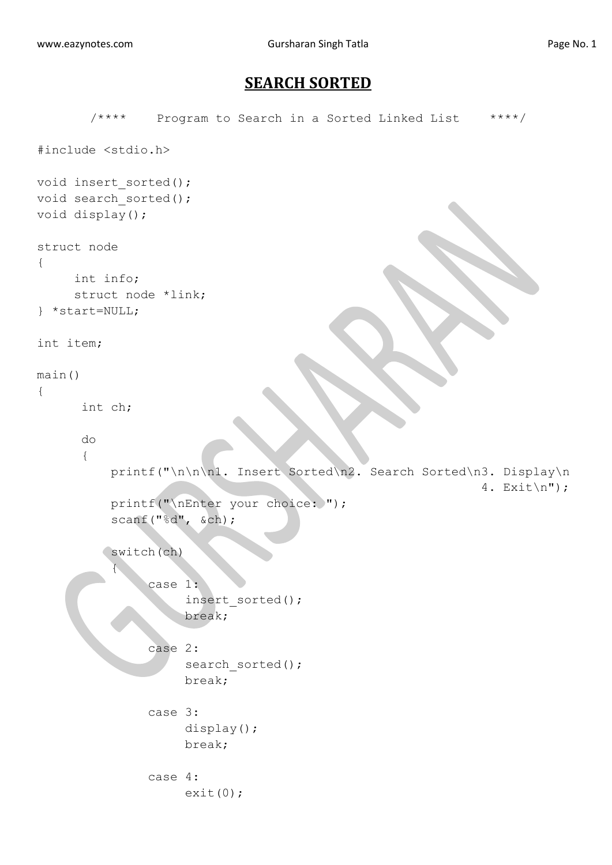## **SEARCH SORTED**

```
/**** Program to Search in a Sorted Linked List ****/
#include <stdio.h>
void insert sorted();
void search sorted();
void display();
struct node
{
     int info;
     struct node *link;
} *start=NULL;
int item;
main()
{
       int ch;
       do
       {
          printf("\n\n\n1. Insert Sorted\n2. Search Sorted\n3. Display\n
                                                              4. Exit\n";
          printf("\nEnter your choice: ");
           scanf("%d", &ch);
          switch(ch)
 {
                case 1:
                      insert_sorted();
                     break;
                case 2:
                    search sorted();
                     break;
                case 3:
                     display();
                    break;
               case 4:
                    exit(0);
```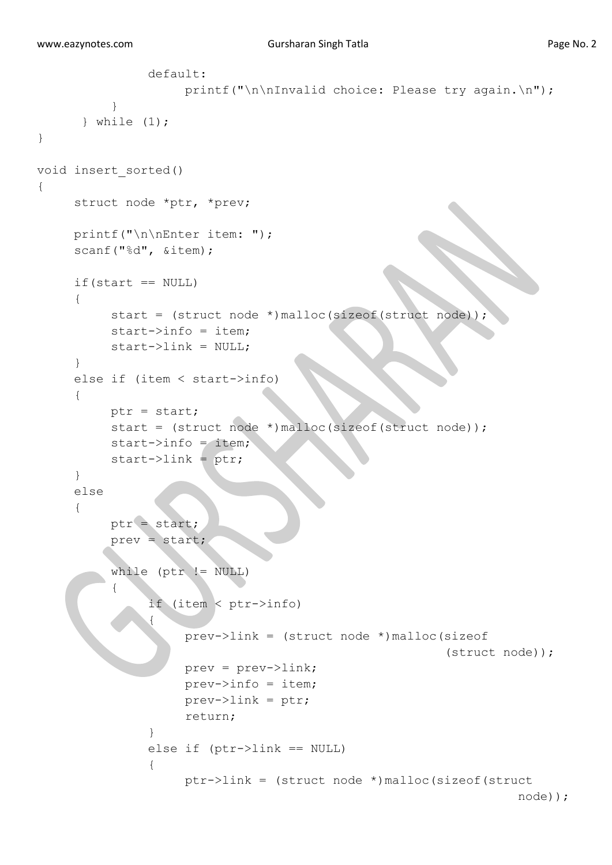```
 default:
                   printf("\n\nInvalid choice: Please try again.\n");
 }
       } while (1);
} 
void insert_sorted()
{
    struct node *ptr, *prev;
    printf("\n\nEnter item: ");
    scanf("%d", &item);
    if(start == NULL){
         start = (struct node *)malloc(sizeof(struct node));
         start->info = item;
         start->link = NULL;
     }
    else if (item < start->info)
     {
         ptr = start;
          start = (struct node *)malloc(sizeof(struct node));
          start->info = item;
          start->link = ptr;
      }
     else
      {
         ptr = start;
          prev = start;
         while (ptr != NULL)
\overline{a} if (item < ptr->info)
 {
                    prev->link = (struct node *)malloc(sizeof
                                                      (struct node));
                    prev = prev->link;
                   prev->info = item;
                   prev->link = ptr;
                   return;
 }
               else if (ptr->link == NULL)
 {
                    ptr->link = (struct node *)malloc(sizeof(struct
                                                                node));
```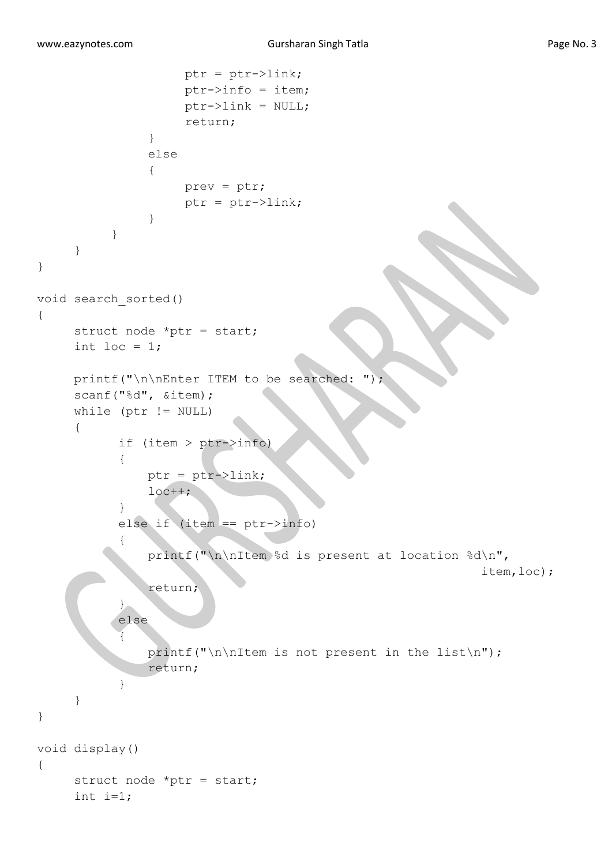```
 ptr = ptr->link;
                    ptr->info = item;
                    ptr->link = NULL;
                    return;
 }
                else
 {
                     prev = ptr;
                    ptr =ptr->link; }
           }
      }
}
void search_sorted()
{
      struct node *ptr = start;
     int loc = 1;
     printf("\n\nEnter ITEM to be searched: ");
      scanf("%d", &item);
     while (\text{ptr} != NULL) {
            if (item > ptr->info)
\{ ptr = ptr->link;
               loc++; }
            else if (item == ptr->info)
\{ printf("\n\nItem %d is present at location %d\n",
                                                             item,loc);
                return;
\left\{\begin{array}{ccc} 1 & 1 & 1 \\ 1 & 1 & 1 \end{array}\right\} else
 {
               printf("\n\nItem is not present in the list\n");
                return;
 }
      }
} 
void display()
{
     struct node *ptr = start;
     int i=1;
```